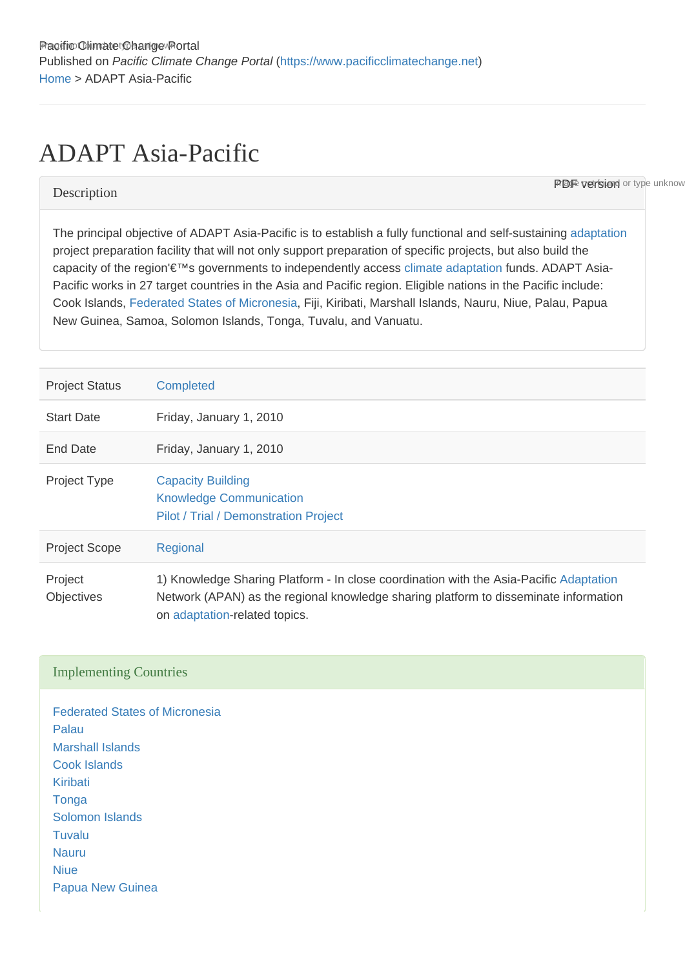# ADAPT Asia-Pacific

**PDF version** or type unknow

## **Description**

The principal objective of ADAPT Asia-Pacific is to establish a fully functional and self-sustaining [adaptation](https://www.pacificclimatechange.net/glossary/letter_a#Adaptation) project preparation facility that will not only support preparation of specific projects, but also build the capacity of the region'€™s governments to independently access [climate](https://www.pacificclimatechange.net/glossary/letter_c#Climate) [adaptation](https://www.pacificclimatechange.net/glossary/letter_a#Adaptation) funds. ADAPT Asia-Pacific works in 27 target countries in the Asia and Pacific region. Eligible nations in the Pacific include: Cook Islands, [Federated States of Micronesia](https://www.pacificclimatechange.net/glossary/letter_f#Federated_States_of_Micronesia), Fiji, Kiribati, Marshall Islands, Nauru, Niue, Palau, Papua New Guinea, Samoa, Solomon Islands, Tonga, Tuvalu, and Vanuatu.

| <b>Project Status</b>        | <b>Completed</b>                                                                                                                                                                                                |
|------------------------------|-----------------------------------------------------------------------------------------------------------------------------------------------------------------------------------------------------------------|
| <b>Start Date</b>            | Friday, January 1, 2010                                                                                                                                                                                         |
| End Date                     | Friday, January 1, 2010                                                                                                                                                                                         |
| <b>Project Type</b>          | <b>Capacity Building</b><br><b>Knowledge Communication</b><br>Pilot / Trial / Demonstration Project                                                                                                             |
| <b>Project Scope</b>         | Regional                                                                                                                                                                                                        |
| Project<br><b>Objectives</b> | 1) Knowledge Sharing Platform - In close coordination with the Asia-Pacific Adaptation<br>Network (APAN) as the regional knowledge sharing platform to disseminate information<br>on adaptation-related topics. |

#### Implementing Countries

[Federated States of Micronesia](https://www.pacificclimatechange.net/node/9482) [Palau](https://www.pacificclimatechange.net/node/57) [Marshall Islands](https://www.pacificclimatechange.net/node/53) [Cook Islands](https://www.pacificclimatechange.net/node/9481) [Kiribati](https://www.pacificclimatechange.net/node/52) **[Tonga](https://www.pacificclimatechange.net/node/61)** [Solomon Islands](https://www.pacificclimatechange.net/node/59) [Tuvalu](https://www.pacificclimatechange.net/node/62) [Nauru](https://www.pacificclimatechange.net/node/54) [Niue](https://www.pacificclimatechange.net/node/55) [Papua New Guinea](https://www.pacificclimatechange.net/node/58)